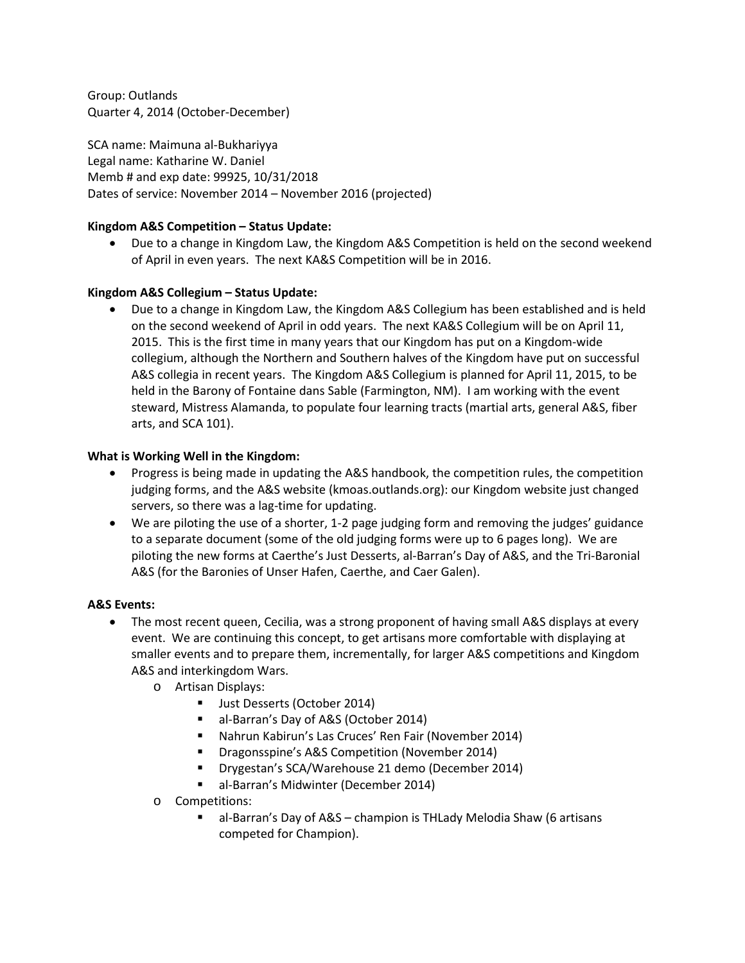Group: Outlands Quarter 4, 2014 (October-December)

SCA name: Maimuna al-Bukhariyya Legal name: Katharine W. Daniel Memb # and exp date: 99925, 10/31/2018 Dates of service: November 2014 – November 2016 (projected)

### **Kingdom A&S Competition – Status Update:**

• Due to a change in Kingdom Law, the Kingdom A&S Competition is held on the second weekend of April in even years. The next KA&S Competition will be in 2016.

### **Kingdom A&S Collegium – Status Update:**

• Due to a change in Kingdom Law, the Kingdom A&S Collegium has been established and is held on the second weekend of April in odd years. The next KA&S Collegium will be on April 11, 2015. This is the first time in many years that our Kingdom has put on a Kingdom-wide collegium, although the Northern and Southern halves of the Kingdom have put on successful A&S collegia in recent years. The Kingdom A&S Collegium is planned for April 11, 2015, to be held in the Barony of Fontaine dans Sable (Farmington, NM). I am working with the event steward, Mistress Alamanda, to populate four learning tracts (martial arts, general A&S, fiber arts, and SCA 101).

#### **What is Working Well in the Kingdom:**

- Progress is being made in updating the A&S handbook, the competition rules, the competition judging forms, and the A&S website (kmoas.outlands.org): our Kingdom website just changed servers, so there was a lag-time for updating.
- We are piloting the use of a shorter, 1-2 page judging form and removing the judges' guidance to a separate document (some of the old judging forms were up to 6 pages long). We are piloting the new forms at Caerthe's Just Desserts, al-Barran's Day of A&S, and the Tri-Baronial A&S (for the Baronies of Unser Hafen, Caerthe, and Caer Galen).

### **A&S Events:**

- The most recent queen, Cecilia, was a strong proponent of having small A&S displays at every event. We are continuing this concept, to get artisans more comfortable with displaying at smaller events and to prepare them, incrementally, for larger A&S competitions and Kingdom A&S and interkingdom Wars.
	- o Artisan Displays:
		- Ust Desserts (October 2014)
		- al-Barran's Day of A&S (October 2014)
		- Nahrun Kabirun's Las Cruces' Ren Fair (November 2014)
		- **•** Dragonsspine's A&S Competition (November 2014)
		- **Drygestan's SCA/Warehouse 21 demo (December 2014)**
		- al-Barran's Midwinter (December 2014)
	- o Competitions:
		- al-Barran's Day of A&S champion is THLady Melodia Shaw (6 artisans competed for Champion).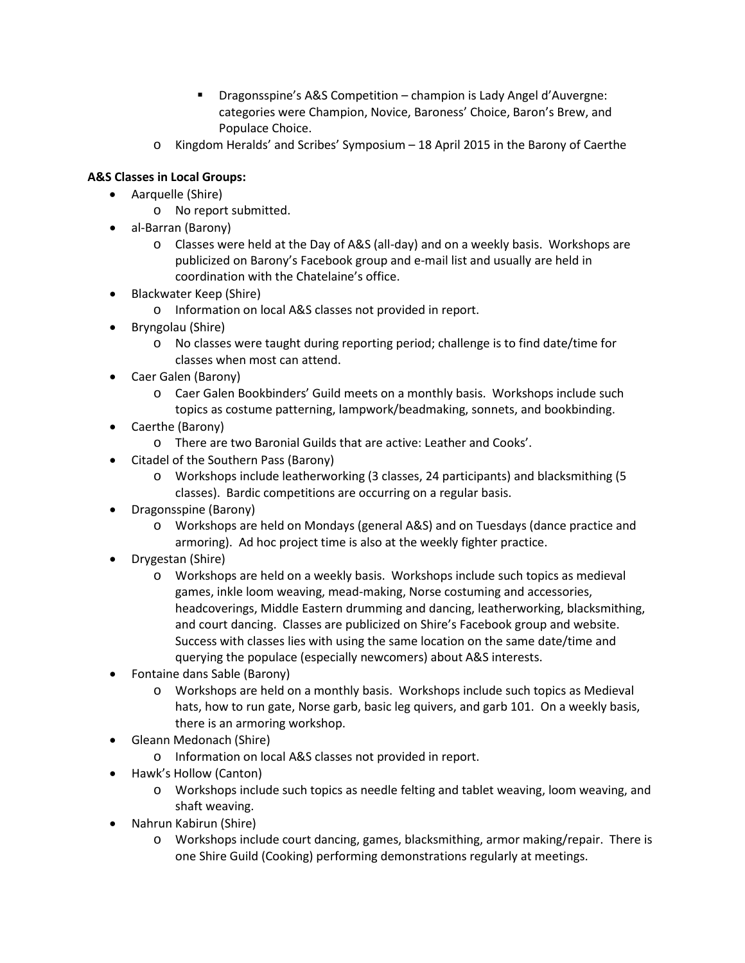- Dragonsspine's A&S Competition champion is Lady Angel d'Auvergne: categories were Champion, Novice, Baroness' Choice, Baron's Brew, and Populace Choice.
- o Kingdom Heralds' and Scribes' Symposium 18 April 2015 in the Barony of Caerthe

# **A&S Classes in Local Groups:**

- Aarquelle (Shire)
	- o No report submitted.
- al-Barran (Barony)
	- o Classes were held at the Day of A&S (all-day) and on a weekly basis. Workshops are publicized on Barony's Facebook group and e-mail list and usually are held in coordination with the Chatelaine's office.
- Blackwater Keep (Shire)
	- o Information on local A&S classes not provided in report.
- Bryngolau (Shire)
	- o No classes were taught during reporting period; challenge is to find date/time for classes when most can attend.
- Caer Galen (Barony)
	- o Caer Galen Bookbinders' Guild meets on a monthly basis. Workshops include such topics as costume patterning, lampwork/beadmaking, sonnets, and bookbinding.
- Caerthe (Barony)
	- o There are two Baronial Guilds that are active: Leather and Cooks'.
- Citadel of the Southern Pass (Barony)
	- o Workshops include leatherworking (3 classes, 24 participants) and blacksmithing (5 classes). Bardic competitions are occurring on a regular basis.
- Dragonsspine (Barony)
	- o Workshops are held on Mondays (general A&S) and on Tuesdays (dance practice and armoring). Ad hoc project time is also at the weekly fighter practice.
- Drygestan (Shire)
	- o Workshops are held on a weekly basis. Workshops include such topics as medieval games, inkle loom weaving, mead-making, Norse costuming and accessories, headcoverings, Middle Eastern drumming and dancing, leatherworking, blacksmithing, and court dancing. Classes are publicized on Shire's Facebook group and website. Success with classes lies with using the same location on the same date/time and querying the populace (especially newcomers) about A&S interests.
- Fontaine dans Sable (Barony)
	- o Workshops are held on a monthly basis. Workshops include such topics as Medieval hats, how to run gate, Norse garb, basic leg quivers, and garb 101. On a weekly basis, there is an armoring workshop.
- Gleann Medonach (Shire)
	- o Information on local A&S classes not provided in report.
- Hawk's Hollow (Canton)
	- o Workshops include such topics as needle felting and tablet weaving, loom weaving, and shaft weaving.
- Nahrun Kabirun (Shire)
	- o Workshops include court dancing, games, blacksmithing, armor making/repair. There is one Shire Guild (Cooking) performing demonstrations regularly at meetings.